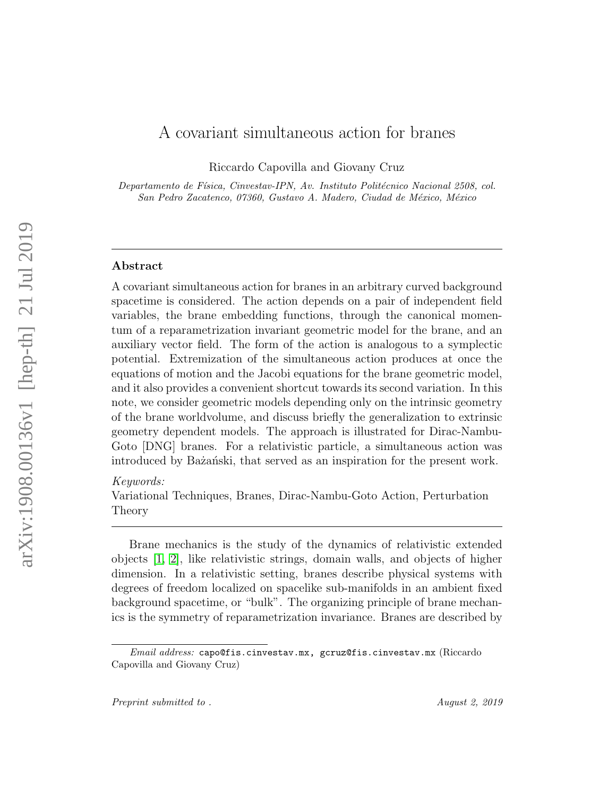# A covariant simultaneous action for branes

Riccardo Capovilla and Giovany Cruz

Departamento de Física, Cinvestav-IPN, Av. Instituto Politécnico Nacional 2508, col. San Pedro Zacatenco, 07360, Gustavo A. Madero, Ciudad de México, México

### Abstract

A covariant simultaneous action for branes in an arbitrary curved background spacetime is considered. The action depends on a pair of independent field variables, the brane embedding functions, through the canonical momentum of a reparametrization invariant geometric model for the brane, and an auxiliary vector field. The form of the action is analogous to a symplectic potential. Extremization of the simultaneous action produces at once the equations of motion and the Jacobi equations for the brane geometric model, and it also provides a convenient shortcut towards its second variation. In this note, we consider geometric models depending only on the intrinsic geometry of the brane worldvolume, and discuss briefly the generalization to extrinsic geometry dependent models. The approach is illustrated for Dirac-Nambu-Goto [DNG] branes. For a relativistic particle, a simultaneous action was introduced by Bazantiski, that served as an inspiration for the present work.

### Keywords:

Variational Techniques, Branes, Dirac-Nambu-Goto Action, Perturbation Theory

Brane mechanics is the study of the dynamics of relativistic extended objects [\[1,](#page-11-0) [2\]](#page-11-1), like relativistic strings, domain walls, and objects of higher dimension. In a relativistic setting, branes describe physical systems with degrees of freedom localized on spacelike sub-manifolds in an ambient fixed background spacetime, or "bulk". The organizing principle of brane mechanics is the symmetry of reparametrization invariance. Branes are described by

Email address: capo@fis.cinvestav.mx, gcruz@fis.cinvestav.mx (Riccardo Capovilla and Giovany Cruz)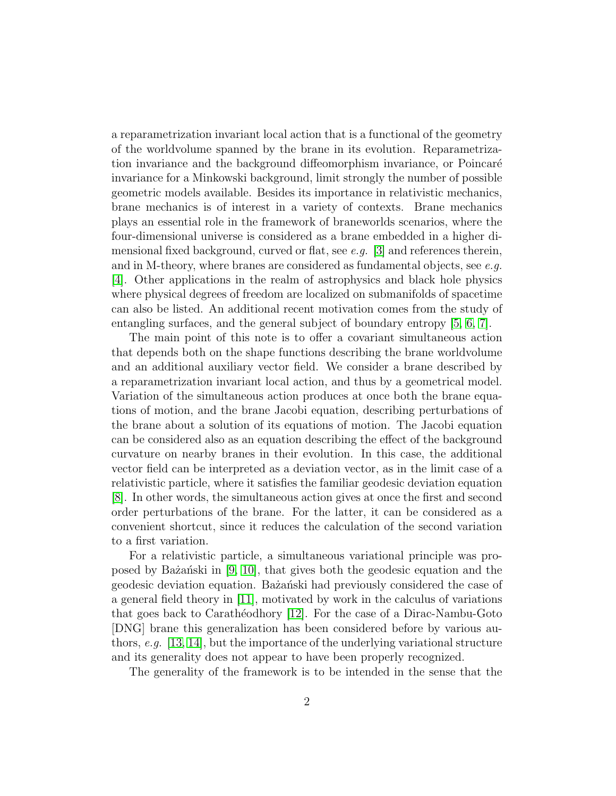a reparametrization invariant local action that is a functional of the geometry of the worldvolume spanned by the brane in its evolution. Reparametrization invariance and the background diffeomorphism invariance, or Poincar´e invariance for a Minkowski background, limit strongly the number of possible geometric models available. Besides its importance in relativistic mechanics, brane mechanics is of interest in a variety of contexts. Brane mechanics plays an essential role in the framework of braneworlds scenarios, where the four-dimensional universe is considered as a brane embedded in a higher dimensional fixed background, curved or flat, see e.g. [\[3\]](#page-11-2) and references therein, and in M-theory, where branes are considered as fundamental objects, see e.g. [\[4\]](#page-11-3). Other applications in the realm of astrophysics and black hole physics where physical degrees of freedom are localized on submanifolds of spacetime can also be listed. An additional recent motivation comes from the study of entangling surfaces, and the general subject of boundary entropy [\[5,](#page-11-4) [6,](#page-11-5) [7\]](#page-11-6).

The main point of this note is to offer a covariant simultaneous action that depends both on the shape functions describing the brane worldvolume and an additional auxiliary vector field. We consider a brane described by a reparametrization invariant local action, and thus by a geometrical model. Variation of the simultaneous action produces at once both the brane equations of motion, and the brane Jacobi equation, describing perturbations of the brane about a solution of its equations of motion. The Jacobi equation can be considered also as an equation describing the effect of the background curvature on nearby branes in their evolution. In this case, the additional vector field can be interpreted as a deviation vector, as in the limit case of a relativistic particle, where it satisfies the familiar geodesic deviation equation [\[8\]](#page-11-7). In other words, the simultaneous action gives at once the first and second order perturbations of the brane. For the latter, it can be considered as a convenient shortcut, since it reduces the calculation of the second variation to a first variation.

For a relativistic particle, a simultaneous variational principle was proposed by Bažanski in  $[9, 10]$  $[9, 10]$ , that gives both the geodesic equation and the geodesic deviation equation. Bazantiski had previously considered the case of a general field theory in [\[11\]](#page-11-10), motivated by work in the calculus of variations that goes back to Carathéodhory  $[12]$ . For the case of a Dirac-Nambu-Goto [DNG] brane this generalization has been considered before by various authors, e.g. [\[13,](#page-11-12) [14\]](#page-11-13), but the importance of the underlying variational structure and its generality does not appear to have been properly recognized.

The generality of the framework is to be intended in the sense that the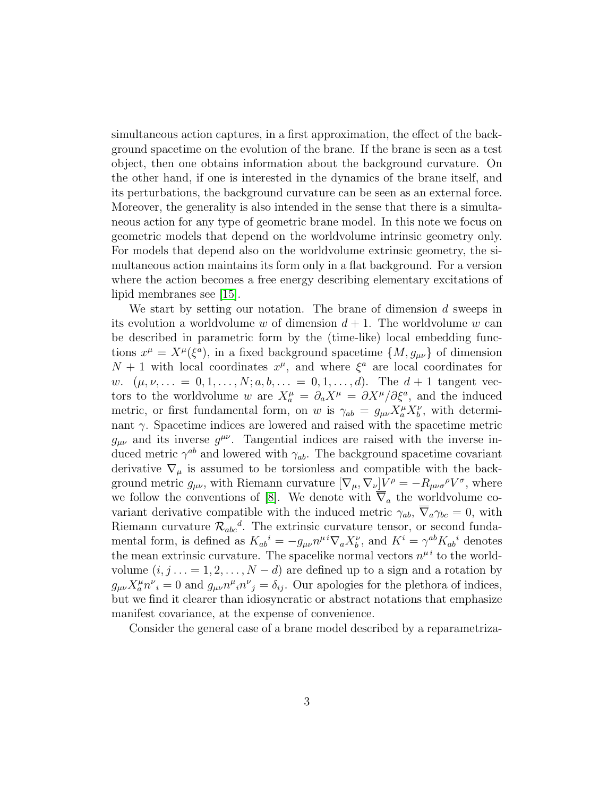simultaneous action captures, in a first approximation, the effect of the background spacetime on the evolution of the brane. If the brane is seen as a test object, then one obtains information about the background curvature. On the other hand, if one is interested in the dynamics of the brane itself, and its perturbations, the background curvature can be seen as an external force. Moreover, the generality is also intended in the sense that there is a simultaneous action for any type of geometric brane model. In this note we focus on geometric models that depend on the worldvolume intrinsic geometry only. For models that depend also on the worldvolume extrinsic geometry, the simultaneous action maintains its form only in a flat background. For a version where the action becomes a free energy describing elementary excitations of lipid membranes see [\[15\]](#page-11-14).

We start by setting our notation. The brane of dimension  $d$  sweeps in its evolution a worldvolume w of dimension  $d + 1$ . The worldvolume w can be described in parametric form by the (time-like) local embedding functions  $x^{\mu} = X^{\mu}(\xi^a)$ , in a fixed background spacetime  $\{M, g_{\mu\nu}\}\$  of dimension  $N+1$  with local coordinates  $x^{\mu}$ , and where  $\xi^{a}$  are local coordinates for w.  $(\mu, \nu, \dots = 0, 1, \dots, N; a, b, \dots = 0, 1, \dots, d)$ . The  $d + 1$  tangent vectors to the worldvolume w are  $X_a^{\mu} = \partial_a X^{\mu} = \partial X^{\mu}/\partial \xi^a$ , and the induced metric, or first fundamental form, on w is  $\gamma_{ab} = g_{\mu\nu} X_a^{\mu} X_b^{\nu}$ , with determinant  $\gamma$ . Spacetime indices are lowered and raised with the spacetime metric  $g_{\mu\nu}$  and its inverse  $g^{\mu\nu}$ . Tangential indices are raised with the inverse induced metric  $\gamma^{ab}$  and lowered with  $\gamma_{ab}$ . The background spacetime covariant derivative  $\nabla_{\mu}$  is assumed to be torsionless and compatible with the background metric  $g_{\mu\nu}$ , with Riemann curvature  $[\nabla_{\mu}, \nabla_{\nu}]V^{\rho} = -R_{\mu\nu\sigma}{}^{\rho}V^{\sigma}$ , where we follow the conventions of [\[8\]](#page-11-7). We denote with  $\overline{\nabla}_a$  the worldvolume covariant derivative compatible with the induced metric  $\gamma_{ab}$ ,  $\nabla_a \gamma_{bc} = 0$ , with Riemann curvature  $\mathcal{R}_{abc}^{\ d}$ . The extrinsic curvature tensor, or second fundamental form, is defined as  $K_{ab}{}^i = -g_{\mu\nu}n^{\mu}i\nabla_a X_b^{\nu}$ , and  $K^i = \gamma^{ab}K_{ab}{}^i$  denotes the mean extrinsic curvature. The spacelike normal vectors  $n^{\mu i}$  to the worldvolume  $(i, j... = 1, 2, ..., N - d)$  are defined up to a sign and a rotation by  $g_{\mu\nu}X_a^{\mu}n^{\nu}{}_i=0$  and  $g_{\mu\nu}n^{\mu}{}_in^{\nu}{}_j=\delta_{ij}$ . Our apologies for the plethora of indices, but we find it clearer than idiosyncratic or abstract notations that emphasize manifest covariance, at the expense of convenience.

Consider the general case of a brane model described by a reparametriza-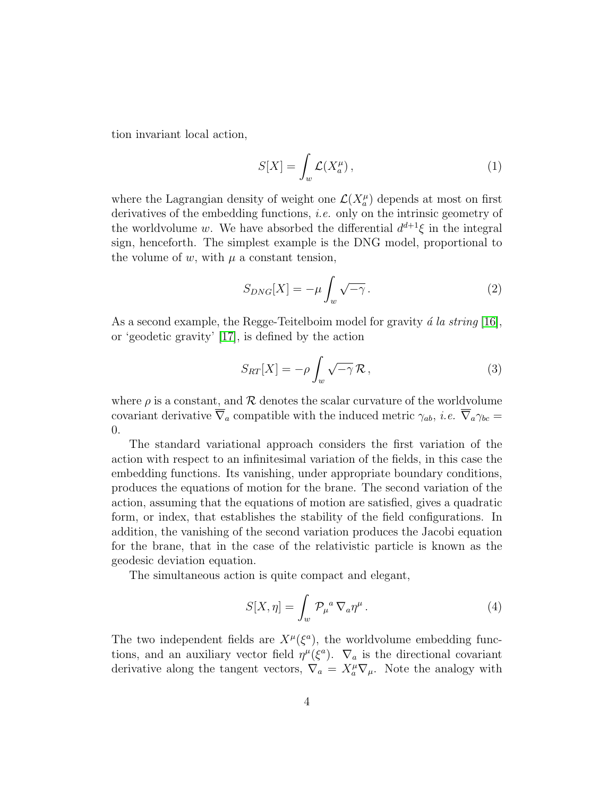tion invariant local action,

<span id="page-3-0"></span>
$$
S[X] = \int_{w} \mathcal{L}(X_a^{\mu}), \qquad (1)
$$

where the Lagrangian density of weight one  $\mathcal{L}(X_a^{\mu})$  depends at most on first derivatives of the embedding functions, i.e. only on the intrinsic geometry of the worldvolume w. We have absorbed the differential  $d^{d+1}\xi$  in the integral sign, henceforth. The simplest example is the DNG model, proportional to the volume of  $w$ , with  $\mu$  a constant tension,

<span id="page-3-1"></span>
$$
S_{DNG}[X] = -\mu \int_w \sqrt{-\gamma} \,. \tag{2}
$$

As a second example, the Regge-Teitelboim model for gravity *á la string* [\[16\]](#page-11-15), or 'geodetic gravity' [\[17\]](#page-11-16), is defined by the action

$$
S_{RT}[X] = -\rho \int_w \sqrt{-\gamma} \mathcal{R}, \qquad (3)
$$

where  $\rho$  is a constant, and  $R$  denotes the scalar curvature of the worldvolume covariant derivative  $\overline{\nabla}_a$  compatible with the induced metric  $\gamma_{ab}$ , *i.e.*  $\overline{\nabla}_a \gamma_{bc} =$ 0.

The standard variational approach considers the first variation of the action with respect to an infinitesimal variation of the fields, in this case the embedding functions. Its vanishing, under appropriate boundary conditions, produces the equations of motion for the brane. The second variation of the action, assuming that the equations of motion are satisfied, gives a quadratic form, or index, that establishes the stability of the field configurations. In addition, the vanishing of the second variation produces the Jacobi equation for the brane, that in the case of the relativistic particle is known as the geodesic deviation equation.

The simultaneous action is quite compact and elegant,

<span id="page-3-2"></span>
$$
S[X,\eta] = \int_{w} \mathcal{P}_{\mu}^{a} \nabla_{a} \eta^{\mu}.
$$
 (4)

The two independent fields are  $X^{\mu}(\xi^a)$ , the worldvolume embedding functions, and an auxiliary vector field  $\eta^{\mu}(\xi^a)$ .  $\nabla_a$  is the directional covariant derivative along the tangent vectors,  $\nabla_a = X_a^{\mu} \nabla_{\mu}$ . Note the analogy with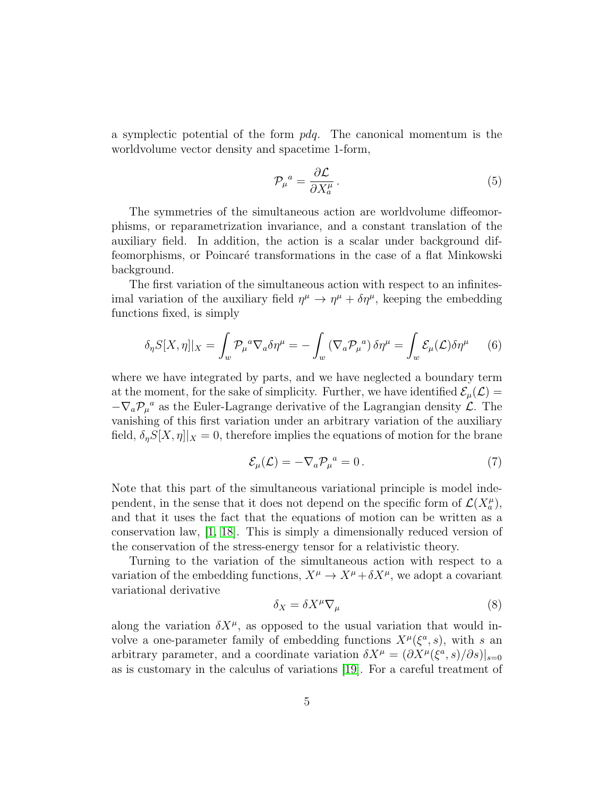a symplectic potential of the form  $pdq$ . The canonical momentum is the worldvolume vector density and spacetime 1-form,

<span id="page-4-0"></span>
$$
\mathcal{P}_{\mu}{}^{a} = \frac{\partial \mathcal{L}}{\partial X_{a}^{\mu}}.
$$
\n(5)

The symmetries of the simultaneous action are worldvolume diffeomorphisms, or reparametrization invariance, and a constant translation of the auxiliary field. In addition, the action is a scalar under background diffeomorphisms, or Poincar´e transformations in the case of a flat Minkowski background.

The first variation of the simultaneous action with respect to an infinitesimal variation of the auxiliary field  $\eta^{\mu} \to \eta^{\mu} + \delta \eta^{\mu}$ , keeping the embedding functions fixed, is simply

<span id="page-4-1"></span>
$$
\delta_{\eta} S[X,\eta]|_{X} = \int_{w} \mathcal{P}_{\mu}^{a} \nabla_{a} \delta \eta^{\mu} = -\int_{w} (\nabla_{a} \mathcal{P}_{\mu}^{a}) \delta \eta^{\mu} = \int_{w} \mathcal{E}_{\mu}(\mathcal{L}) \delta \eta^{\mu} \qquad (6)
$$

where we have integrated by parts, and we have neglected a boundary term at the moment, for the sake of simplicity. Further, we have identified  $\mathcal{E}_{\mu}(\mathcal{L}) =$  $-\nabla_a \mathcal{P}_\mu^a$  as the Euler-Lagrange derivative of the Lagrangian density  $\mathcal{L}$ . The vanishing of this first variation under an arbitrary variation of the auxiliary field,  $\delta_{\eta}S[X,\eta]|_{X}=0$ , therefore implies the equations of motion for the brane

<span id="page-4-2"></span>
$$
\mathcal{E}_{\mu}(\mathcal{L}) = -\nabla_a \mathcal{P}_{\mu}^{\ a} = 0. \tag{7}
$$

Note that this part of the simultaneous variational principle is model independent, in the sense that it does not depend on the specific form of  $\mathcal{L}(X_a^{\mu}),$ and that it uses the fact that the equations of motion can be written as a conservation law, [\[1,](#page-11-0) [18\]](#page-11-17). This is simply a dimensionally reduced version of the conservation of the stress-energy tensor for a relativistic theory.

Turning to the variation of the simultaneous action with respect to a variation of the embedding functions,  $X^{\mu} \to X^{\mu} + \delta X^{\mu}$ , we adopt a covariant variational derivative

$$
\delta_X = \delta X^\mu \nabla_\mu \tag{8}
$$

along the variation  $\delta X^{\mu}$ , as opposed to the usual variation that would involve a one-parameter family of embedding functions  $X^{\mu}(\xi^a, s)$ , with s an arbitrary parameter, and a coordinate variation  $\delta X^{\mu} = (\partial X^{\mu}(\xi^{a}, s)/\partial s)|_{s=0}$ as is customary in the calculus of variations [\[19\]](#page-12-0). For a careful treatment of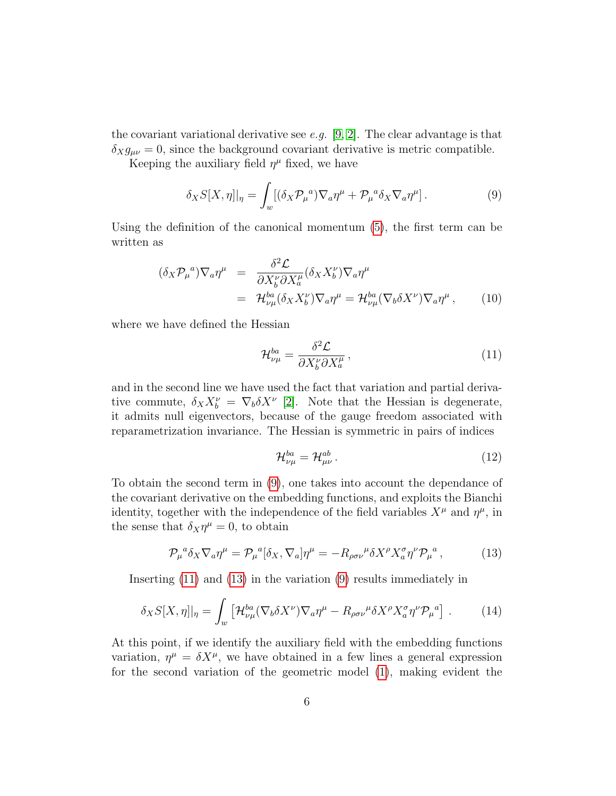the covariant variational derivative see e.g. [\[9,](#page-11-8) [2\]](#page-11-1). The clear advantage is that  $\delta_X g_{\mu\nu} = 0$ , since the background covariant derivative is metric compatible.

Keeping the auxiliary field  $\eta^{\mu}$  fixed, we have

<span id="page-5-0"></span>
$$
\delta_X S[X,\eta]|_{\eta} = \int_w [(\delta_X \mathcal{P}_{\mu}{}^a) \nabla_a \eta^{\mu} + \mathcal{P}_{\mu}{}^a \delta_X \nabla_a \eta^{\mu}]. \tag{9}
$$

Using the definition of the canonical momentum [\(5\)](#page-4-0), the first term can be written as

$$
(\delta_X \mathcal{P}_{\mu}{}^a) \nabla_a \eta^{\mu} = \frac{\delta^2 \mathcal{L}}{\partial X_b^{\nu} \partial X_a^{\mu}} (\delta_X X_b^{\nu}) \nabla_a \eta^{\mu}
$$
  

$$
= \mathcal{H}_{\nu\mu}^{ba} (\delta_X X_b^{\nu}) \nabla_a \eta^{\mu} = \mathcal{H}_{\nu\mu}^{ba} (\nabla_b \delta X^{\nu}) \nabla_a \eta^{\mu}, \qquad (10)
$$

where we have defined the Hessian

<span id="page-5-1"></span>
$$
\mathcal{H}^{ba}_{\nu\mu} = \frac{\delta^2 \mathcal{L}}{\partial X_b^{\nu} \partial X_a^{\mu}}\,,\tag{11}
$$

and in the second line we have used the fact that variation and partial derivative commute,  $\delta_X X_b^{\nu} = \nabla_b \delta X^{\nu}$  [\[2\]](#page-11-1). Note that the Hessian is degenerate, it admits null eigenvectors, because of the gauge freedom associated with reparametrization invariance. The Hessian is symmetric in pairs of indices

<span id="page-5-4"></span>
$$
\mathcal{H}_{\nu\mu}^{ba} = \mathcal{H}_{\mu\nu}^{ab} \,. \tag{12}
$$

To obtain the second term in [\(9\)](#page-5-0), one takes into account the dependance of the covariant derivative on the embedding functions, and exploits the Bianchi identity, together with the independence of the field variables  $X^{\mu}$  and  $\eta^{\mu}$ , in the sense that  $\delta_X \eta^\mu = 0$ , to obtain

<span id="page-5-2"></span>
$$
\mathcal{P}_{\mu}{}^{a}\delta_{X}\nabla_{a}\eta^{\mu} = \mathcal{P}_{\mu}{}^{a}[\delta_{X},\nabla_{a}]\eta^{\mu} = -R_{\rho\sigma\nu}{}^{\mu}\delta X^{\rho}X_{a}^{\sigma}\eta^{\nu}\mathcal{P}_{\mu}{}^{a},\tag{13}
$$

Inserting [\(11\)](#page-5-1) and [\(13\)](#page-5-2) in the variation [\(9\)](#page-5-0) results immediately in

<span id="page-5-3"></span>
$$
\delta_X S[X,\eta]|_{\eta} = \int_w \left[ \mathcal{H}_{\nu\mu}^{ba} (\nabla_b \delta X^{\nu}) \nabla_a \eta^{\mu} - R_{\rho\sigma\nu}{}^{\mu} \delta X^{\rho} X_a^{\sigma} \eta^{\nu} \mathcal{P}_{\mu}{}^a \right] \,. \tag{14}
$$

At this point, if we identify the auxiliary field with the embedding functions variation,  $\eta^{\mu} = \delta X^{\mu}$ , we have obtained in a few lines a general expression for the second variation of the geometric model [\(1\)](#page-3-0), making evident the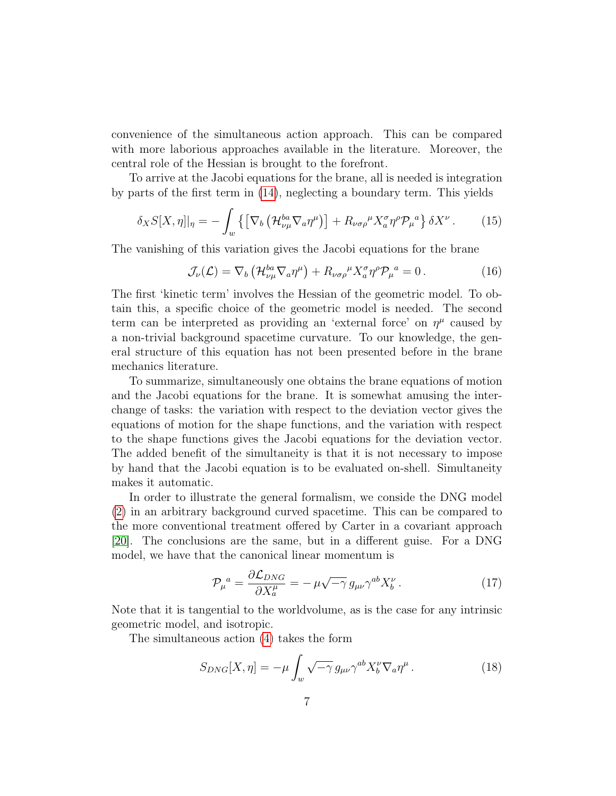convenience of the simultaneous action approach. This can be compared with more laborious approaches available in the literature. Moreover, the central role of the Hessian is brought to the forefront.

To arrive at the Jacobi equations for the brane, all is needed is integration by parts of the first term in [\(14\)](#page-5-3), neglecting a boundary term. This yields

$$
\delta_X S[X,\eta]|_{\eta} = -\int_w \left\{ \left[ \nabla_b \left( \mathcal{H}_{\nu\mu}^{ba} \nabla_a \eta^{\mu} \right) \right] + R_{\nu\sigma\rho}^{\ \ \mu} X_a^{\sigma} \eta^{\rho} \mathcal{P}_{\mu}^{\ a} \right\} \delta X^{\nu} \,. \tag{15}
$$

The vanishing of this variation gives the Jacobi equations for the brane

$$
\mathcal{J}_{\nu}(\mathcal{L}) = \nabla_b \left( \mathcal{H}_{\nu\mu}^{ba} \nabla_a \eta^{\mu} \right) + R_{\nu\sigma\rho}{}^{\mu} X_a^{\sigma} \eta^{\rho} \mathcal{P}_{\mu}{}^a = 0 \,. \tag{16}
$$

The first 'kinetic term' involves the Hessian of the geometric model. To obtain this, a specific choice of the geometric model is needed. The second term can be interpreted as providing an 'external force' on  $\eta^{\mu}$  caused by a non-trivial background spacetime curvature. To our knowledge, the general structure of this equation has not been presented before in the brane mechanics literature.

To summarize, simultaneously one obtains the brane equations of motion and the Jacobi equations for the brane. It is somewhat amusing the interchange of tasks: the variation with respect to the deviation vector gives the equations of motion for the shape functions, and the variation with respect to the shape functions gives the Jacobi equations for the deviation vector. The added benefit of the simultaneity is that it is not necessary to impose by hand that the Jacobi equation is to be evaluated on-shell. Simultaneity makes it automatic.

In order to illustrate the general formalism, we conside the DNG model [\(2\)](#page-3-1) in an arbitrary background curved spacetime. This can be compared to the more conventional treatment offered by Carter in a covariant approach [\[20\]](#page-12-1). The conclusions are the same, but in a different guise. For a DNG model, we have that the canonical linear momentum is

$$
\mathcal{P}_{\mu}{}^{a} = \frac{\partial \mathcal{L}_{DNG}}{\partial X_{a}^{\mu}} = -\mu \sqrt{-\gamma} \, g_{\mu\nu} \gamma^{ab} X_{b}^{\nu} \,. \tag{17}
$$

Note that it is tangential to the worldvolume, as is the case for any intrinsic geometric model, and isotropic.

The simultaneous action [\(4\)](#page-3-2) takes the form

<span id="page-6-0"></span>
$$
S_{DNG}[X,\eta] = -\mu \int_w \sqrt{-\gamma} \, g_{\mu\nu} \gamma^{ab} X_b^{\nu} \nabla_a \eta^{\mu} \,. \tag{18}
$$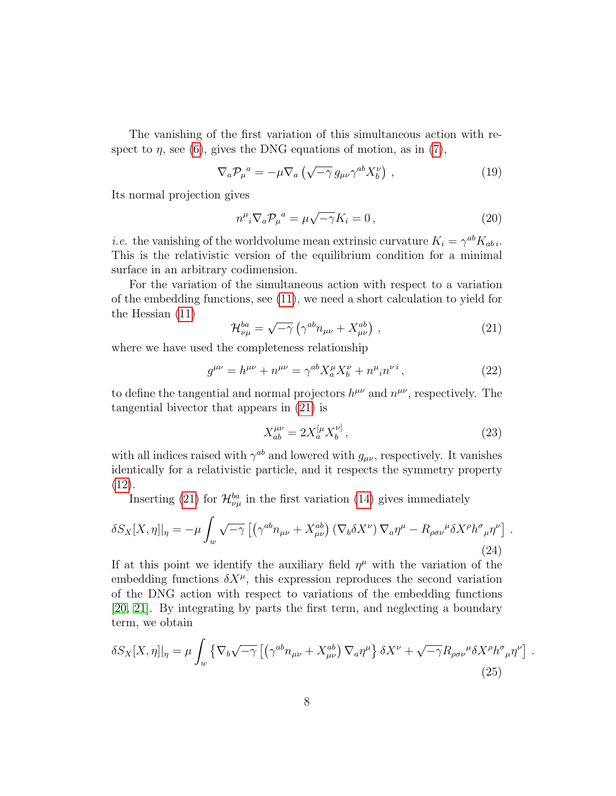The vanishing of the first variation of this simultaneous action with respect to  $\eta$ , see [\(6\)](#page-4-1), gives the DNG equations of motion, as in [\(7\)](#page-4-2),

$$
\nabla_a \mathcal{P}_\mu{}^a = -\mu \nabla_a \left( \sqrt{-\gamma} \, g_{\mu\nu} \gamma^{ab} X_b^{\nu} \right) , \qquad (19)
$$

Its normal projection gives

$$
n^{\mu}{}_{i}\nabla_{a}P_{\mu}{}^{a} = \mu\sqrt{-\gamma}K_{i} = 0, \qquad (20)
$$

*i.e.* the vanishing of the worldvolume mean extrinsic curvature  $K_i = \gamma^{ab} K_{ab}$ . This is the relativistic version of the equilibrium condition for a minimal surface in an arbitrary codimension.

For the variation of the simultaneous action with respect to a variation of the embedding functions, see [\(11\)](#page-5-1), we need a short calculation to yield for the Hessian [\(11\)](#page-5-1)

<span id="page-7-0"></span>
$$
\mathcal{H}_{\nu\mu}^{ba} = \sqrt{-\gamma} \left( \gamma^{ab} n_{\mu\nu} + X_{\mu\nu}^{ab} \right) , \qquad (21)
$$

where we have used the completeness relationship

<span id="page-7-1"></span>
$$
g^{\mu\nu} = h^{\mu\nu} + n^{\mu\nu} = \gamma^{ab} X_a^{\mu} X_b^{\nu} + n^{\mu}{}_i n^{\nu}{}^i , \qquad (22)
$$

to define the tangential and normal projectors  $h^{\mu\nu}$  and  $n^{\mu\nu}$ , respectively. The tangential bivector that appears in [\(21\)](#page-7-0) is

$$
X_{ab}^{\mu\nu} = 2X_a^{[\mu} X_b^{\nu]},\tag{23}
$$

.

.

with all indices raised with  $\gamma^{ab}$  and lowered with  $g_{\mu\nu}$ , respectively. It vanishes identically for a relativistic particle, and it respects the symmetry property [\(12\)](#page-5-4).

Inserting [\(21\)](#page-7-0) for  $\mathcal{H}_{\nu\mu}^{ba}$  in the first variation [\(14\)](#page-5-3) gives immediately

$$
\delta S_X[X,\eta]|_{\eta} = -\mu \int_w \sqrt{-\gamma} \left[ \left( \gamma^{ab} n_{\mu\nu} + X^{ab}_{\mu\nu} \right) \left( \nabla_b \delta X^{\nu} \right) \nabla_a \eta^{\mu} - R_{\rho\sigma\nu}{}^{\mu} \delta X^{\rho} h^{\sigma}{}_{\mu} \eta^{\nu} \right]
$$
\n(24)

If at this point we identify the auxiliary field  $\eta^{\mu}$  with the variation of the embedding functions  $\delta X^{\mu}$ , this expression reproduces the second variation of the DNG action with respect to variations of the embedding functions [\[20,](#page-12-1) [21\]](#page-12-2). By integrating by parts the first term, and neglecting a boundary term, we obtain

$$
\delta S_X[X,\eta]|_{\eta} = \mu \int_w \left\{ \nabla_b \sqrt{-\gamma} \left[ \left( \gamma^{ab} n_{\mu\nu} + X_{\mu\nu}^{ab} \right) \nabla_a \eta^{\mu} \right\} \delta X^{\nu} + \sqrt{-\gamma} R_{\rho\sigma\nu}{}^{\mu} \delta X^{\rho} h^{\sigma}{}_{\mu} \eta^{\nu} \right] \tag{25}
$$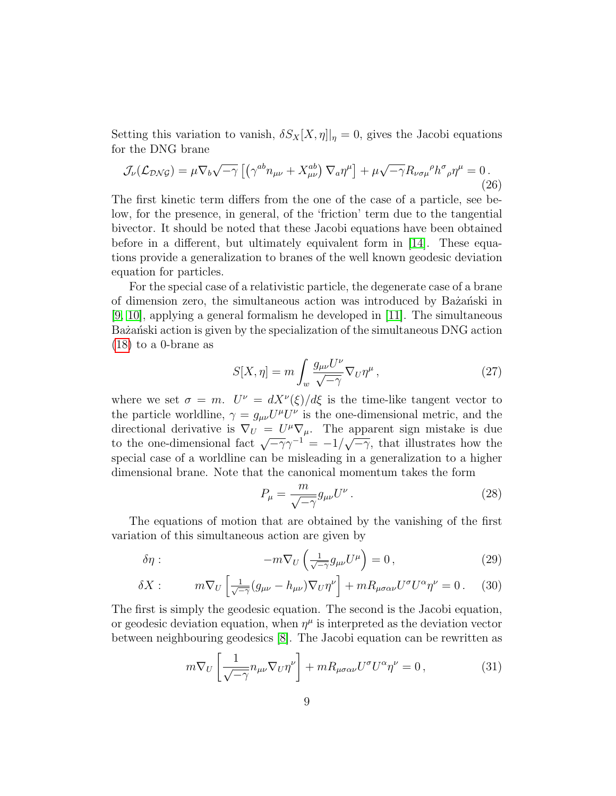Setting this variation to vanish,  $\delta S_X[X, \eta] |_{\eta} = 0$ , gives the Jacobi equations for the DNG brane

$$
\mathcal{J}_{\nu}(\mathcal{L}_{\mathcal{DNG}}) = \mu \nabla_b \sqrt{-\gamma} \left[ \left( \gamma^{ab} n_{\mu\nu} + X_{\mu\nu}^{ab} \right) \nabla_a \eta^{\mu} \right] + \mu \sqrt{-\gamma} R_{\nu\sigma\mu}{}^{\rho} h^{\sigma}{}_{\rho} \eta^{\mu} = 0. \tag{26}
$$

The first kinetic term differs from the one of the case of a particle, see below, for the presence, in general, of the 'friction' term due to the tangential bivector. It should be noted that these Jacobi equations have been obtained before in a different, but ultimately equivalent form in [\[14\]](#page-11-13). These equations provide a generalization to branes of the well known geodesic deviation equation for particles.

For the special case of a relativistic particle, the degenerate case of a brane of dimension zero, the simultaneous action was introduced by Bažanski in [\[9,](#page-11-8) [10\]](#page-11-9), applying a general formalism he developed in [\[11\]](#page-11-10). The simultaneous Bażański action is given by the specialization of the simultaneous DNG action [\(18\)](#page-6-0) to a 0-brane as

$$
S[X,\eta] = m \int_{w} \frac{g_{\mu\nu}U^{\nu}}{\sqrt{-\gamma}} \nabla_{U}\eta^{\mu}, \qquad (27)
$$

where we set  $\sigma = m$ .  $U^{\nu} = dX^{\nu}(\xi)/d\xi$  is the time-like tangent vector to the particle worldline,  $\gamma = g_{\mu\nu}U^{\mu}U^{\nu}$  is the one-dimensional metric, and the directional derivative is  $\nabla_U = U^{\mu} \nabla_{\mu}$ . The apparent sign mistake is due to the one-dimensional fact  $\sqrt{-\gamma}\gamma^{-1} = -1/\sqrt{-\gamma}$ , that illustrates how the special case of a worldline can be misleading in a generalization to a higher dimensional brane. Note that the canonical momentum takes the form

$$
P_{\mu} = \frac{m}{\sqrt{-\gamma}} g_{\mu\nu} U^{\nu} . \tag{28}
$$

The equations of motion that are obtained by the vanishing of the first variation of this simultaneous action are given by

$$
\delta \eta : \qquad \qquad -m \nabla_U \left( \frac{1}{\sqrt{-\gamma}} g_{\mu\nu} U^{\mu} \right) = 0 \,, \tag{29}
$$

$$
\delta X: \qquad m \nabla_U \left[ \frac{1}{\sqrt{-\gamma}} (g_{\mu\nu} - h_{\mu\nu}) \nabla_U \eta^\nu \right] + m R_{\mu\sigma\alpha\nu} U^\sigma U^\alpha \eta^\nu = 0. \tag{30}
$$

The first is simply the geodesic equation. The second is the Jacobi equation, or geodesic deviation equation, when  $\eta^{\mu}$  is interpreted as the deviation vector between neighbouring geodesics [\[8\]](#page-11-7). The Jacobi equation can be rewritten as

$$
m\nabla_U \left[ \frac{1}{\sqrt{-\gamma}} n_{\mu\nu} \nabla_U \eta^\nu \right] + m R_{\mu\sigma\alpha\nu} U^\sigma U^\alpha \eta^\nu = 0, \qquad (31)
$$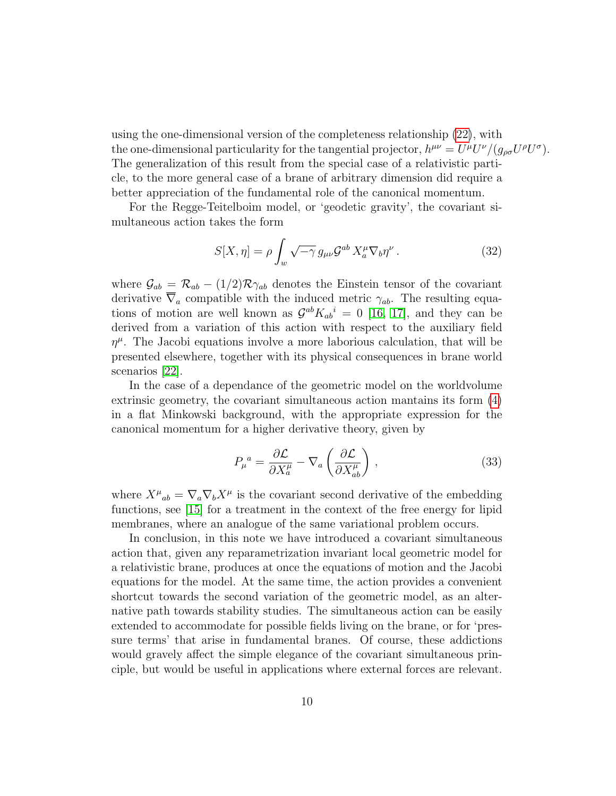using the one-dimensional version of the completeness relationship [\(22\)](#page-7-1), with the one-dimensional particularity for the tangential projector,  $h^{\mu\nu} = U^{\mu}U^{\nu}/(g_{\rho\sigma}U^{\rho}U^{\sigma})$ . The generalization of this result from the special case of a relativistic particle, to the more general case of a brane of arbitrary dimension did require a better appreciation of the fundamental role of the canonical momentum.

For the Regge-Teitelboim model, or 'geodetic gravity', the covariant simultaneous action takes the form

$$
S[X,\eta] = \rho \int_w \sqrt{-\gamma} \, g_{\mu\nu} \mathcal{G}^{ab} \, X_a^{\mu} \nabla_b \eta^{\nu} \,. \tag{32}
$$

where  $\mathcal{G}_{ab} = \mathcal{R}_{ab} - (1/2)\mathcal{R}\gamma_{ab}$  denotes the Einstein tensor of the covariant derivative  $\overline{\nabla}_a$  compatible with the induced metric  $\gamma_{ab}$ . The resulting equations of motion are well known as  $\mathcal{G}^{ab}K_{ab}^i = 0$  [\[16,](#page-11-15) [17\]](#page-11-16), and they can be derived from a variation of this action with respect to the auxiliary field  $\eta^{\mu}$ . The Jacobi equations involve a more laborious calculation, that will be presented elsewhere, together with its physical consequences in brane world scenarios [\[22\]](#page-12-3).

In the case of a dependance of the geometric model on the worldvolume extrinsic geometry, the covariant simultaneous action mantains its form [\(4\)](#page-3-2) in a flat Minkowski background, with the appropriate expression for the canonical momentum for a higher derivative theory, given by

$$
P_{\mu}^{a} = \frac{\partial \mathcal{L}}{\partial X_{a}^{\mu}} - \nabla_{a} \left( \frac{\partial \mathcal{L}}{\partial X_{ab}^{\mu}} \right) , \qquad (33)
$$

where  $X^{\mu}{}_{ab} = \nabla_a \nabla_b X^{\mu}$  is the covariant second derivative of the embedding functions, see [\[15\]](#page-11-14) for a treatment in the context of the free energy for lipid membranes, where an analogue of the same variational problem occurs.

In conclusion, in this note we have introduced a covariant simultaneous action that, given any reparametrization invariant local geometric model for a relativistic brane, produces at once the equations of motion and the Jacobi equations for the model. At the same time, the action provides a convenient shortcut towards the second variation of the geometric model, as an alternative path towards stability studies. The simultaneous action can be easily extended to accommodate for possible fields living on the brane, or for 'pressure terms' that arise in fundamental branes. Of course, these addictions would gravely affect the simple elegance of the covariant simultaneous principle, but would be useful in applications where external forces are relevant.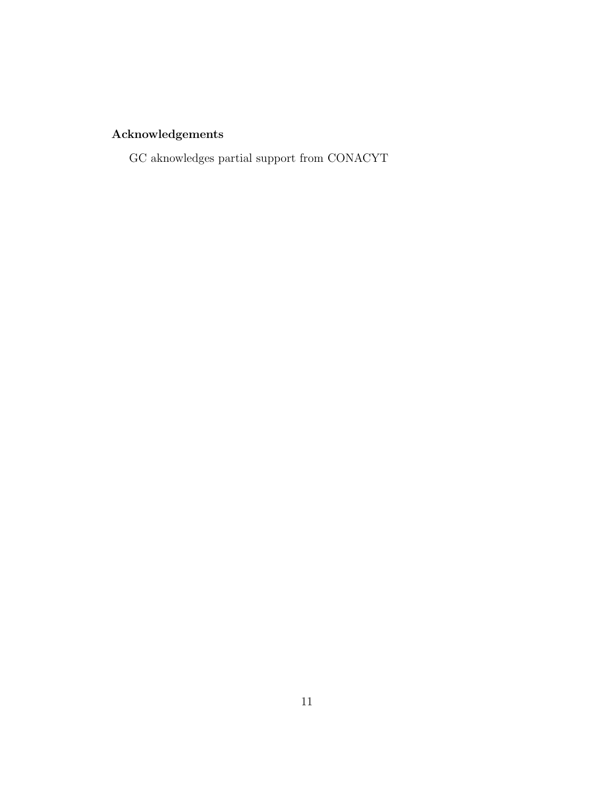# Acknowledgements

GC aknowledges partial support from CONACYT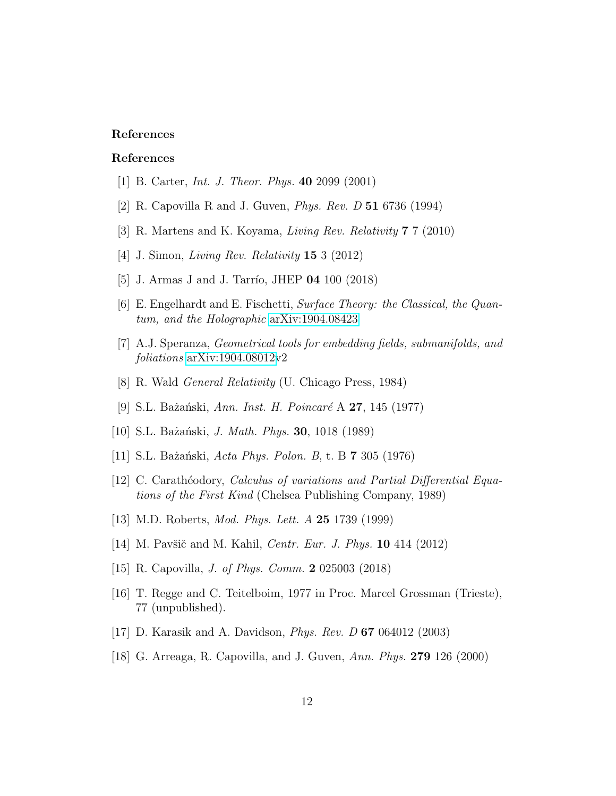## References

#### References

- <span id="page-11-0"></span>[1] B. Carter, Int. J. Theor. Phys. 40 2099 (2001)
- <span id="page-11-1"></span>[2] R. Capovilla R and J. Guven, Phys. Rev. D 51 6736 (1994)
- <span id="page-11-2"></span>[3] R. Martens and K. Koyama, Living Rev. Relativity 7 7 (2010)
- <span id="page-11-3"></span>[4] J. Simon, Living Rev. Relativity 15 3 (2012)
- <span id="page-11-4"></span>[5] J. Armas J and J. Tarrío, JHEP  $04 100 (2018)$
- <span id="page-11-5"></span>[6] E. Engelhardt and E. Fischetti, Surface Theory: the Classical, the Quantum, and the Holographic [arXiv:1904.08423](http://arxiv.org/abs/1904.08423)
- <span id="page-11-6"></span>[7] A.J. Speranza, Geometrical tools for embedding fields, submanifolds, and foliations [arXiv:1904.08012v](http://arxiv.org/abs/1904.08012)2
- <span id="page-11-7"></span>[8] R. Wald General Relativity (U. Chicago Press, 1984)
- <span id="page-11-8"></span>[9] S.L. Bażański, Ann. Inst. H. Poincaré A  $27$ , 145 (1977)
- <span id="page-11-9"></span>[10] S.L. Bażański, *J. Math. Phys.* **30**, 1018 (1989)
- <span id="page-11-10"></span>[11] S.L. Bażański, *Acta Phys. Polon. B*, t. B **7** 305 (1976)
- <span id="page-11-11"></span>[12] C. Carathéodory, *Calculus of variations and Partial Differential Equa*tions of the First Kind (Chelsea Publishing Company, 1989)
- <span id="page-11-12"></span>[13] M.D. Roberts, *Mod. Phys. Lett. A* **25** 1739 (1999)
- <span id="page-11-13"></span>[14] M. Pavšič and M. Kahil, *Centr. Eur. J. Phys.* **10** 414 (2012)
- <span id="page-11-14"></span>[15] R. Capovilla, J. of Phys. Comm. 2 025003 (2018)
- <span id="page-11-15"></span>[16] T. Regge and C. Teitelboim, 1977 in Proc. Marcel Grossman (Trieste), 77 (unpublished).
- <span id="page-11-16"></span>[17] D. Karasik and A. Davidson, Phys. Rev. D 67 064012 (2003)
- <span id="page-11-17"></span>[18] G. Arreaga, R. Capovilla, and J. Guven, Ann. Phys. 279 126 (2000)